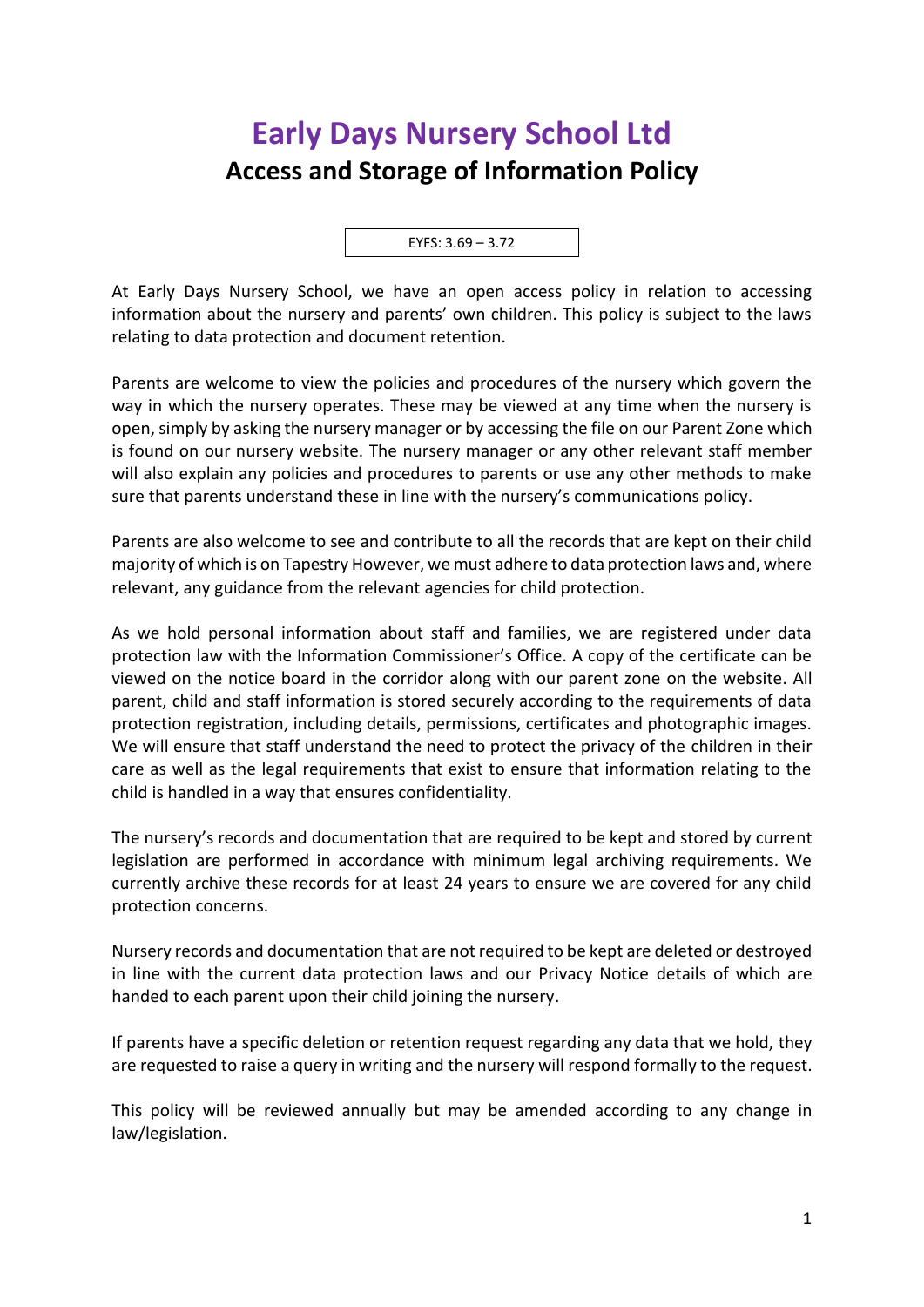## **Early Days Nursery School Ltd Access and Storage of Information Policy**

EYFS: 3.69 – 3.72

At Early Days Nursery School, we have an open access policy in relation to accessing information about the nursery and parents' own children. This policy is subject to the laws relating to data protection and document retention.

Parents are welcome to view the policies and procedures of the nursery which govern the way in which the nursery operates. These may be viewed at any time when the nursery is open, simply by asking the nursery manager or by accessing the file on our Parent Zone which is found on our nursery website. The nursery manager or any other relevant staff member will also explain any policies and procedures to parents or use any other methods to make sure that parents understand these in line with the nursery's communications policy.

Parents are also welcome to see and contribute to all the records that are kept on their child majority of which is on Tapestry However, we must adhere to data protection laws and, where relevant, any guidance from the relevant agencies for child protection.

As we hold personal information about staff and families, we are registered under data protection law with the Information Commissioner's Office. A copy of the certificate can be viewed on the notice board in the corridor along with our parent zone on the website. All parent, child and staff information is stored securely according to the requirements of data protection registration, including details, permissions, certificates and photographic images. We will ensure that staff understand the need to protect the privacy of the children in their care as well as the legal requirements that exist to ensure that information relating to the child is handled in a way that ensures confidentiality.

The nursery's records and documentation that are required to be kept and stored by current legislation are performed in accordance with minimum legal archiving requirements. We currently archive these records for at least 24 years to ensure we are covered for any child protection concerns.

Nursery records and documentation that are not required to be kept are deleted or destroyed in line with the current data protection laws and our Privacy Notice details of which are handed to each parent upon their child joining the nursery.

If parents have a specific deletion or retention request regarding any data that we hold, they are requested to raise a query in writing and the nursery will respond formally to the request.

This policy will be reviewed annually but may be amended according to any change in law/legislation.